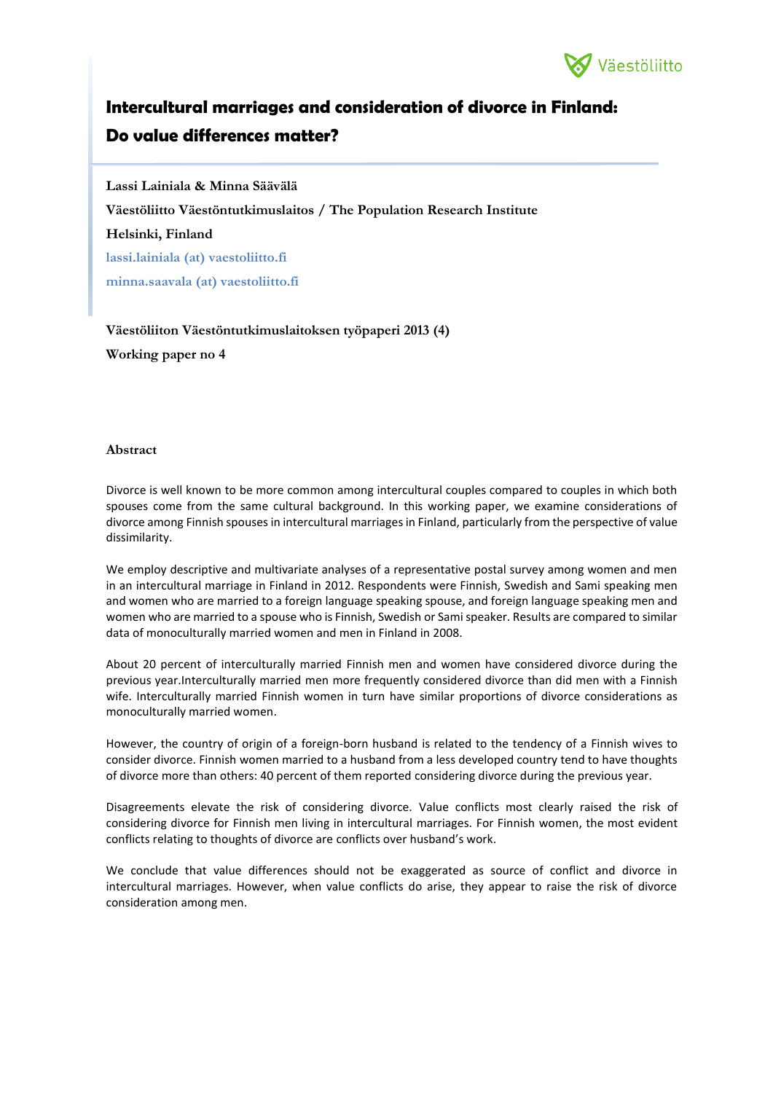

# **Intercultural marriages and consideration of divorce in Finland: Do value differences matter?**

**Lassi Lainiala & Minna Säävälä Väestöliitto Väestöntutkimuslaitos / The Population Research Institute Helsinki, Finland lassi.lainiala (at) vaestoliitto.fi minna.saavala (at) vaestoliitto.fi**

**Väestöliiton Väestöntutkimuslaitoksen työpaperi 2013 (4) Working paper no 4**

#### **Abstract**

Divorce is well known to be more common among intercultural couples compared to couples in which both spouses come from the same cultural background. In this working paper, we examine considerations of divorce among Finnish spouses in intercultural marriages in Finland, particularly from the perspective of value dissimilarity.

We employ descriptive and multivariate analyses of a representative postal survey among women and men in an intercultural marriage in Finland in 2012. Respondents were Finnish, Swedish and Sami speaking men and women who are married to a foreign language speaking spouse, and foreign language speaking men and women who are married to a spouse who is Finnish, Swedish or Sami speaker. Results are compared to similar data of monoculturally married women and men in Finland in 2008.

About 20 percent of interculturally married Finnish men and women have considered divorce during the previous year.Interculturally married men more frequently considered divorce than did men with a Finnish wife. Interculturally married Finnish women in turn have similar proportions of divorce considerations as monoculturally married women.

However, the country of origin of a foreign-born husband is related to the tendency of a Finnish wives to consider divorce. Finnish women married to a husband from a less developed country tend to have thoughts of divorce more than others: 40 percent of them reported considering divorce during the previous year.

Disagreements elevate the risk of considering divorce. Value conflicts most clearly raised the risk of considering divorce for Finnish men living in intercultural marriages. For Finnish women, the most evident conflicts relating to thoughts of divorce are conflicts over husband's work.

We conclude that value differences should not be exaggerated as source of conflict and divorce in intercultural marriages. However, when value conflicts do arise, they appear to raise the risk of divorce consideration among men.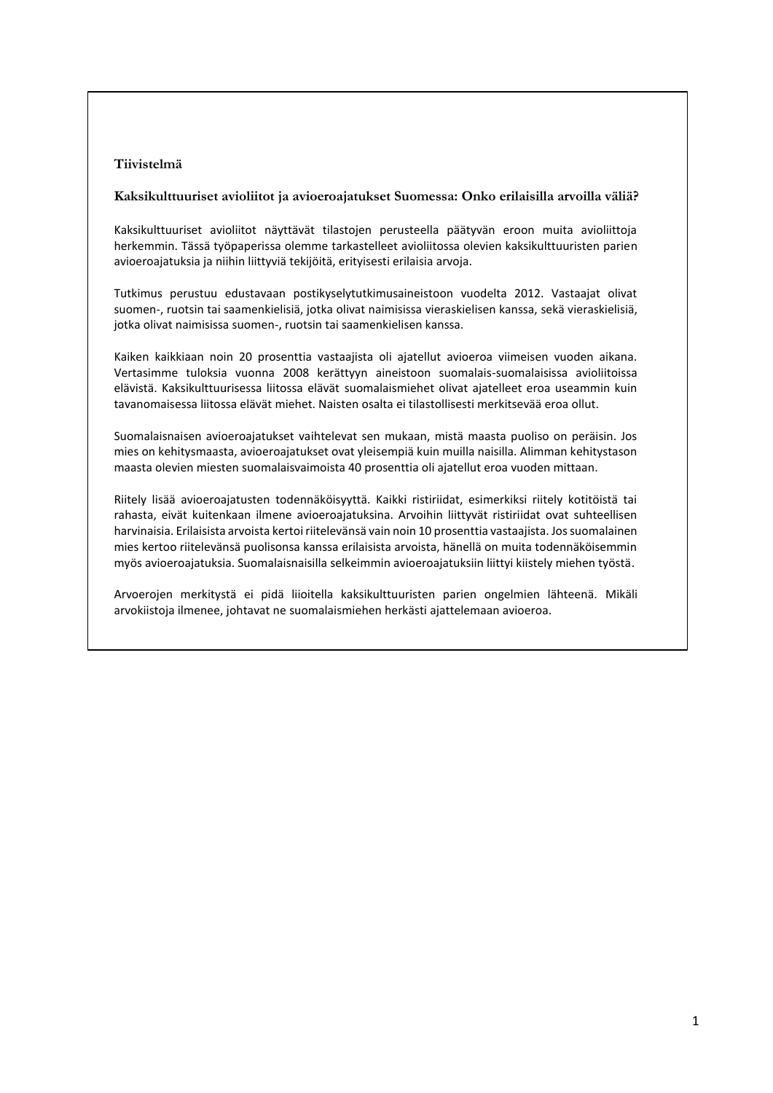## **Tiivistelmä**

#### **Kaksikulttuuriset avioliitot ja avioeroajatukset Suomessa: Onko erilaisilla arvoilla väliä?**

Kaksikulttuuriset avioliitot näyttävät tilastojen perusteella päätyvän eroon muita avioliittoja herkemmin. Tässä työpaperissa olemme tarkastelleet avioliitossa olevien kaksikulttuuristen parien avioeroajatuksia ja niihin liittyviä tekijöitä, erityisesti erilaisia arvoja.

Tutkimus perustuu edustavaan postikyselytutkimusaineistoon vuodelta 2012. Vastaajat olivat suomen-, ruotsin tai saamenkielisiä, jotka olivat naimisissa vieraskielisen kanssa, sekä vieraskielisiä, jotka olivat naimisissa suomen-, ruotsin tai saamenkielisen kanssa.

Kaiken kaikkiaan noin 20 prosenttia vastaajista oli ajatellut avioeroa viimeisen vuoden aikana. Vertasimme tuloksia vuonna 2008 kerättyyn aineistoon suomalais-suomalaisissa avioliitoissa elävistä. Kaksikulttuurisessa liitossa elävät suomalaismiehet olivat ajatelleet eroa useammin kuin tavanomaisessa liitossa elävät miehet. Naisten osalta ei tilastollisesti merkitsevää eroa ollut.

Suomalaisnaisen avioeroajatukset vaihtelevat sen mukaan, mistä maasta puoliso on peräisin. Jos mies on kehitysmaasta, avioeroajatukset ovat yleisempiä kuin muilla naisilla. Alimman kehitystason maasta olevien miesten suomalaisvaimoista 40 prosenttia oli ajatellut eroa vuoden mittaan.

Riitely lisää avioeroajatusten todennäköisyyttä. Kaikki ristiriidat, esimerkiksi riitely kotitöistä tai rahasta, eivät kuitenkaan ilmene avioeroajatuksina. Arvoihin liittyvät ristiriidat ovat suhteellisen harvinaisia. Erilaisista arvoista kertoi riitelevänsä vain noin 10 prosenttia vastaajista. Jos suomalainen mies kertoo riitelevänsä puolisonsa kanssa erilaisista arvoista, hänellä on muita todennäköisemmin myös avioeroajatuksia. Suomalaisnaisilla selkeimmin avioeroajatuksiin liittyi kiistely miehen työstä.

Arvoerojen merkitystä ei pidä liioitella kaksikulttuuristen parien ongelmien lähteenä. Mikäli arvokiistoja ilmenee, johtavat ne suomalaismiehen herkästi ajattelemaan avioeroa.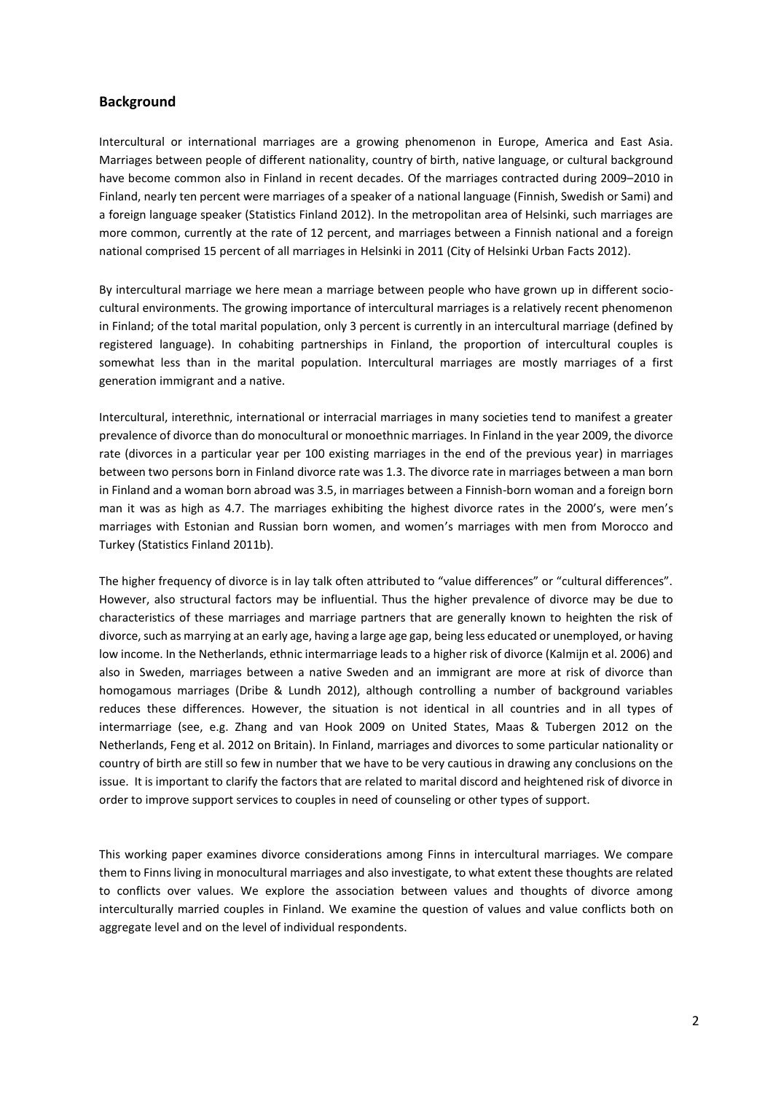## **Background**

Intercultural or international marriages are a growing phenomenon in Europe, America and East Asia. Marriages between people of different nationality, country of birth, native language, or cultural background have become common also in Finland in recent decades. Of the marriages contracted during 2009–2010 in Finland, nearly ten percent were marriages of a speaker of a national language (Finnish, Swedish or Sami) and a foreign language speaker (Statistics Finland 2012). In the metropolitan area of Helsinki, such marriages are more common, currently at the rate of 12 percent, and marriages between a Finnish national and a foreign national comprised 15 percent of all marriages in Helsinki in 2011 (City of Helsinki Urban Facts 2012).

By intercultural marriage we here mean a marriage between people who have grown up in different sociocultural environments. The growing importance of intercultural marriages is a relatively recent phenomenon in Finland; of the total marital population, only 3 percent is currently in an intercultural marriage (defined by registered language). In cohabiting partnerships in Finland, the proportion of intercultural couples is somewhat less than in the marital population. Intercultural marriages are mostly marriages of a first generation immigrant and a native.

Intercultural, interethnic, international or interracial marriages in many societies tend to manifest a greater prevalence of divorce than do monocultural or monoethnic marriages. In Finland in the year 2009, the divorce rate (divorces in a particular year per 100 existing marriages in the end of the previous year) in marriages between two persons born in Finland divorce rate was 1.3. The divorce rate in marriages between a man born in Finland and a woman born abroad was 3.5, in marriages between a Finnish-born woman and a foreign born man it was as high as 4.7. The marriages exhibiting the highest divorce rates in the 2000's, were men's marriages with Estonian and Russian born women, and women's marriages with men from Morocco and Turkey (Statistics Finland 2011b).

The higher frequency of divorce is in lay talk often attributed to "value differences" or "cultural differences". However, also structural factors may be influential. Thus the higher prevalence of divorce may be due to characteristics of these marriages and marriage partners that are generally known to heighten the risk of divorce, such as marrying at an early age, having a large age gap, being less educated or unemployed, or having low income. In the Netherlands, ethnic intermarriage leads to a higher risk of divorce (Kalmijn et al. 2006) and also in Sweden, marriages between a native Sweden and an immigrant are more at risk of divorce than homogamous marriages (Dribe & Lundh 2012), although controlling a number of background variables reduces these differences. However, the situation is not identical in all countries and in all types of intermarriage (see, e.g. Zhang and van Hook 2009 on United States, Maas & Tubergen 2012 on the Netherlands, Feng et al. 2012 on Britain). In Finland, marriages and divorces to some particular nationality or country of birth are still so few in number that we have to be very cautious in drawing any conclusions on the issue. It is important to clarify the factors that are related to marital discord and heightened risk of divorce in order to improve support services to couples in need of counseling or other types of support.

This working paper examines divorce considerations among Finns in intercultural marriages. We compare them to Finns living in monocultural marriages and also investigate, to what extent these thoughts are related to conflicts over values. We explore the association between values and thoughts of divorce among interculturally married couples in Finland. We examine the question of values and value conflicts both on aggregate level and on the level of individual respondents.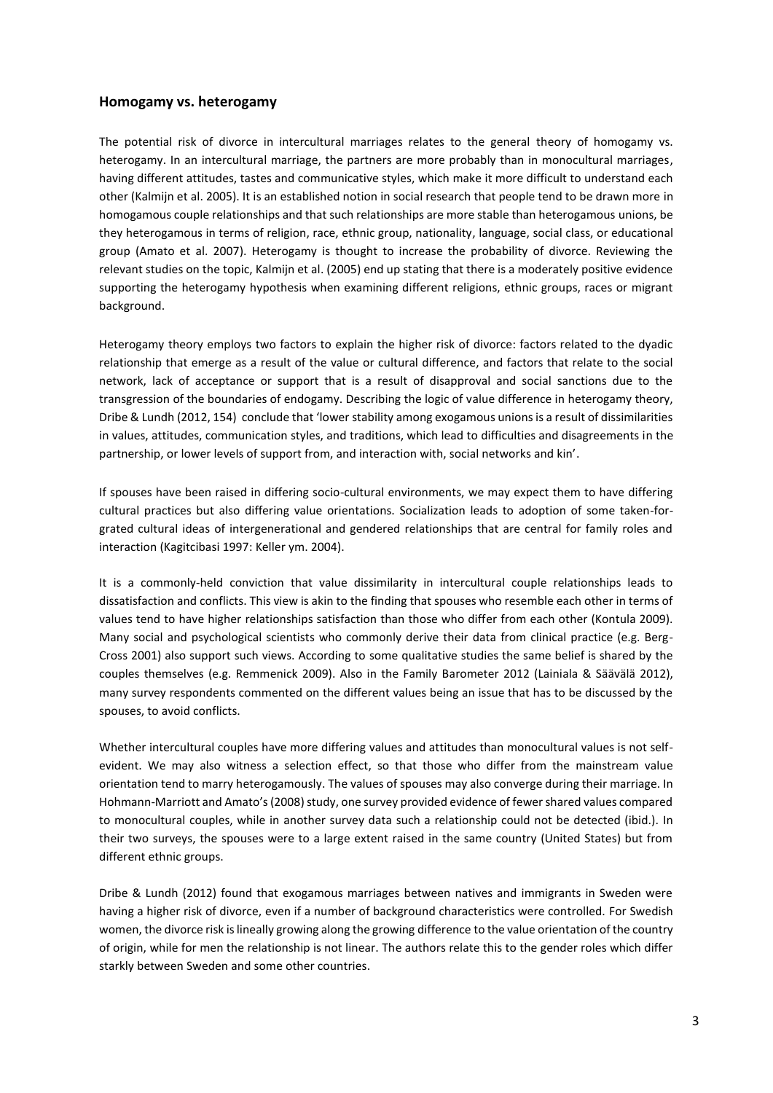#### **Homogamy vs. heterogamy**

The potential risk of divorce in intercultural marriages relates to the general theory of homogamy vs. heterogamy. In an intercultural marriage, the partners are more probably than in monocultural marriages, having different attitudes, tastes and communicative styles, which make it more difficult to understand each other (Kalmijn et al. 2005). It is an established notion in social research that people tend to be drawn more in homogamous couple relationships and that such relationships are more stable than heterogamous unions, be they heterogamous in terms of religion, race, ethnic group, nationality, language, social class, or educational group (Amato et al. 2007). Heterogamy is thought to increase the probability of divorce. Reviewing the relevant studies on the topic, Kalmijn et al. (2005) end up stating that there is a moderately positive evidence supporting the heterogamy hypothesis when examining different religions, ethnic groups, races or migrant background.

Heterogamy theory employs two factors to explain the higher risk of divorce: factors related to the dyadic relationship that emerge as a result of the value or cultural difference, and factors that relate to the social network, lack of acceptance or support that is a result of disapproval and social sanctions due to the transgression of the boundaries of endogamy. Describing the logic of value difference in heterogamy theory, Dribe & Lundh (2012, 154) conclude that 'lower stability among exogamous unions is a result of dissimilarities in values, attitudes, communication styles, and traditions, which lead to difficulties and disagreements in the partnership, or lower levels of support from, and interaction with, social networks and kin'.

If spouses have been raised in differing socio-cultural environments, we may expect them to have differing cultural practices but also differing value orientations. Socialization leads to adoption of some taken-forgrated cultural ideas of intergenerational and gendered relationships that are central for family roles and interaction (Kagitcibasi 1997: Keller ym. 2004).

It is a commonly-held conviction that value dissimilarity in intercultural couple relationships leads to dissatisfaction and conflicts. This view is akin to the finding that spouses who resemble each other in terms of values tend to have higher relationships satisfaction than those who differ from each other (Kontula 2009). Many social and psychological scientists who commonly derive their data from clinical practice (e.g. Berg-Cross 2001) also support such views. According to some qualitative studies the same belief is shared by the couples themselves (e.g. Remmenick 2009). Also in the Family Barometer 2012 (Lainiala & Säävälä 2012), many survey respondents commented on the different values being an issue that has to be discussed by the spouses, to avoid conflicts.

Whether intercultural couples have more differing values and attitudes than monocultural values is not selfevident. We may also witness a selection effect, so that those who differ from the mainstream value orientation tend to marry heterogamously. The values of spouses may also converge during their marriage. In Hohmann-Marriott and Amato's (2008) study, one survey provided evidence of fewer shared values compared to monocultural couples, while in another survey data such a relationship could not be detected (ibid.). In their two surveys, the spouses were to a large extent raised in the same country (United States) but from different ethnic groups.

Dribe & Lundh (2012) found that exogamous marriages between natives and immigrants in Sweden were having a higher risk of divorce, even if a number of background characteristics were controlled. For Swedish women, the divorce risk is lineally growing along the growing difference to the value orientation of the country of origin, while for men the relationship is not linear. The authors relate this to the gender roles which differ starkly between Sweden and some other countries.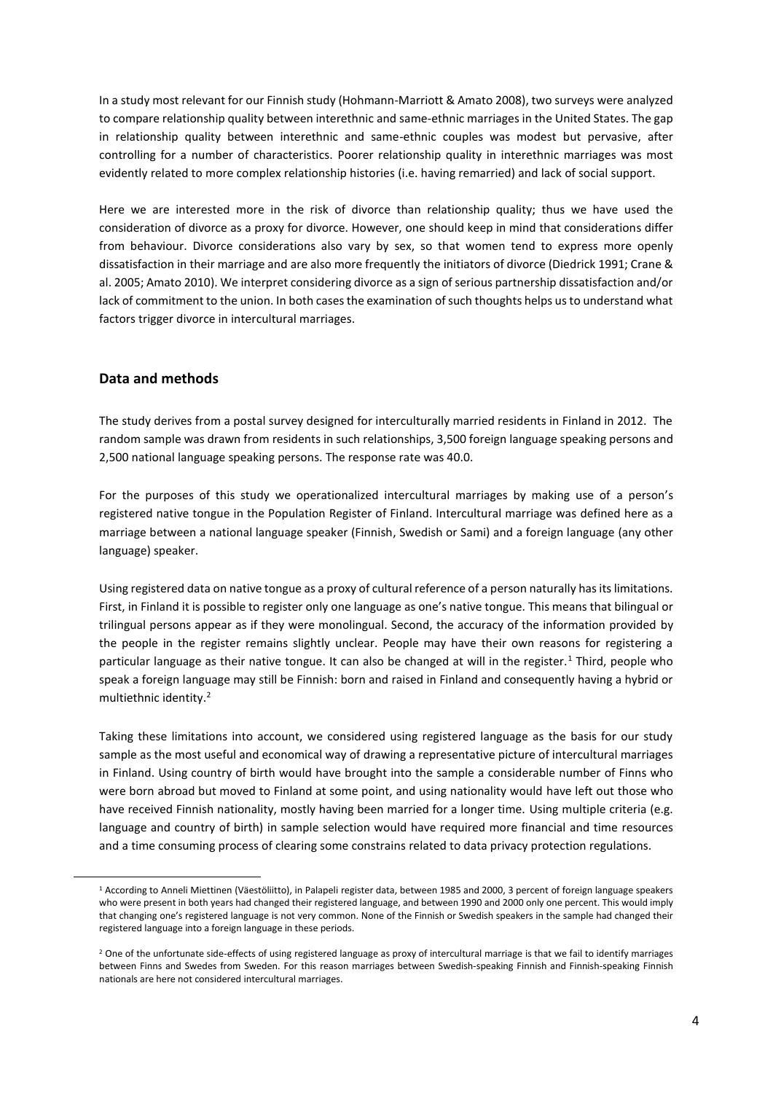In a study most relevant for our Finnish study (Hohmann-Marriott & Amato 2008), two surveys were analyzed to compare relationship quality between interethnic and same-ethnic marriages in the United States. The gap in relationship quality between interethnic and same-ethnic couples was modest but pervasive, after controlling for a number of characteristics. Poorer relationship quality in interethnic marriages was most evidently related to more complex relationship histories (i.e. having remarried) and lack of social support.

Here we are interested more in the risk of divorce than relationship quality; thus we have used the consideration of divorce as a proxy for divorce. However, one should keep in mind that considerations differ from behaviour. Divorce considerations also vary by sex, so that women tend to express more openly dissatisfaction in their marriage and are also more frequently the initiators of divorce (Diedrick 1991; Crane & al. 2005; Amato 2010). We interpret considering divorce as a sign of serious partnership dissatisfaction and/or lack of commitment to the union. In both cases the examination of such thoughts helps us to understand what factors trigger divorce in intercultural marriages.

## **Data and methods**

 $\overline{a}$ 

The study derives from a postal survey designed for interculturally married residents in Finland in 2012. The random sample was drawn from residents in such relationships, 3,500 foreign language speaking persons and 2,500 national language speaking persons. The response rate was 40.0.

For the purposes of this study we operationalized intercultural marriages by making use of a person's registered native tongue in the Population Register of Finland. Intercultural marriage was defined here as a marriage between a national language speaker (Finnish, Swedish or Sami) and a foreign language (any other language) speaker.

Using registered data on native tongue as a proxy of cultural reference of a person naturally has its limitations. First, in Finland it is possible to register only one language as one's native tongue. This means that bilingual or trilingual persons appear as if they were monolingual. Second, the accuracy of the information provided by the people in the register remains slightly unclear. People may have their own reasons for registering a particular language as their native tongue. It can also be changed at will in the register.<sup>1</sup> Third, people who speak a foreign language may still be Finnish: born and raised in Finland and consequently having a hybrid or multiethnic identity.<sup>2</sup>

Taking these limitations into account, we considered using registered language as the basis for our study sample as the most useful and economical way of drawing a representative picture of intercultural marriages in Finland. Using country of birth would have brought into the sample a considerable number of Finns who were born abroad but moved to Finland at some point, and using nationality would have left out those who have received Finnish nationality, mostly having been married for a longer time. Using multiple criteria (e.g. language and country of birth) in sample selection would have required more financial and time resources and a time consuming process of clearing some constrains related to data privacy protection regulations.

<sup>1</sup> According to Anneli Miettinen (Väestöliitto), in Palapeli register data, between 1985 and 2000, 3 percent of foreign language speakers who were present in both years had changed their registered language, and between 1990 and 2000 only one percent. This would imply that changing one's registered language is not very common. None of the Finnish or Swedish speakers in the sample had changed their registered language into a foreign language in these periods.

<sup>&</sup>lt;sup>2</sup> One of the unfortunate side-effects of using registered language as proxy of intercultural marriage is that we fail to identify marriages between Finns and Swedes from Sweden. For this reason marriages between Swedish-speaking Finnish and Finnish-speaking Finnish nationals are here not considered intercultural marriages.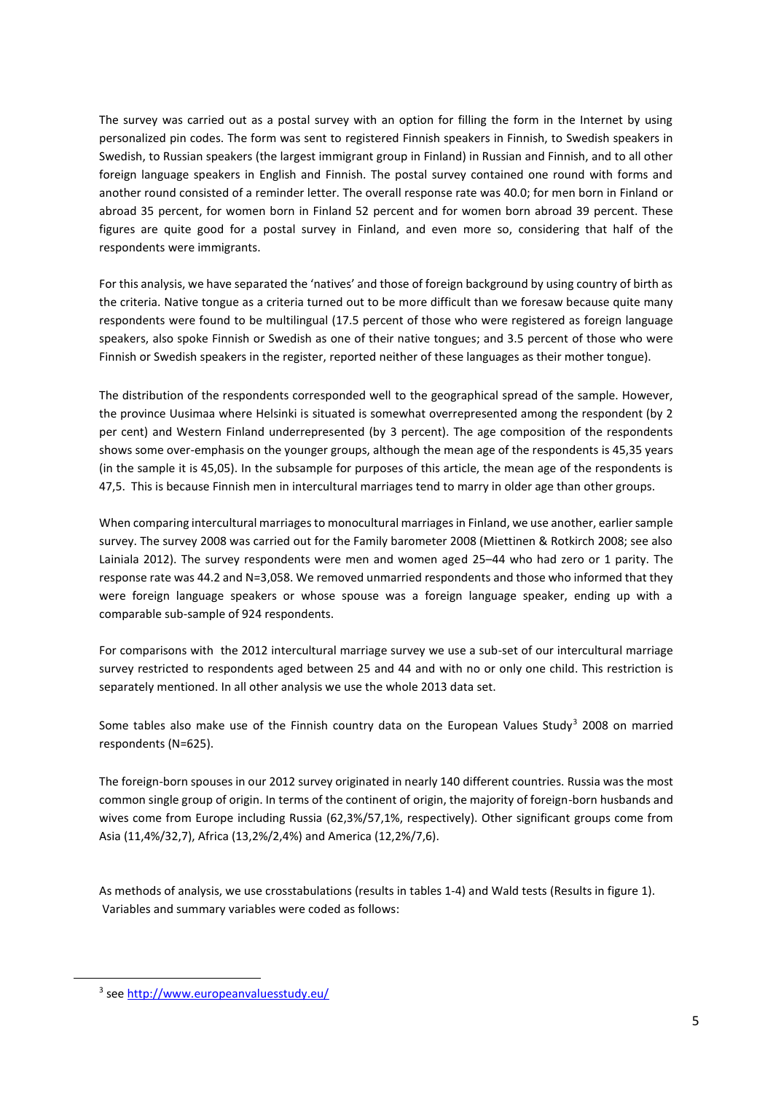The survey was carried out as a postal survey with an option for filling the form in the Internet by using personalized pin codes. The form was sent to registered Finnish speakers in Finnish, to Swedish speakers in Swedish, to Russian speakers (the largest immigrant group in Finland) in Russian and Finnish, and to all other foreign language speakers in English and Finnish. The postal survey contained one round with forms and another round consisted of a reminder letter. The overall response rate was 40.0; for men born in Finland or abroad 35 percent, for women born in Finland 52 percent and for women born abroad 39 percent. These figures are quite good for a postal survey in Finland, and even more so, considering that half of the respondents were immigrants.

For this analysis, we have separated the 'natives' and those of foreign background by using country of birth as the criteria. Native tongue as a criteria turned out to be more difficult than we foresaw because quite many respondents were found to be multilingual (17.5 percent of those who were registered as foreign language speakers, also spoke Finnish or Swedish as one of their native tongues; and 3.5 percent of those who were Finnish or Swedish speakers in the register, reported neither of these languages as their mother tongue).

The distribution of the respondents corresponded well to the geographical spread of the sample. However, the province Uusimaa where Helsinki is situated is somewhat overrepresented among the respondent (by 2 per cent) and Western Finland underrepresented (by 3 percent). The age composition of the respondents shows some over-emphasis on the younger groups, although the mean age of the respondents is 45,35 years (in the sample it is 45,05). In the subsample for purposes of this article, the mean age of the respondents is 47,5. This is because Finnish men in intercultural marriages tend to marry in older age than other groups.

When comparing intercultural marriages to monocultural marriages in Finland, we use another, earlier sample survey. The survey 2008 was carried out for the Family barometer 2008 (Miettinen & Rotkirch 2008; see also Lainiala 2012). The survey respondents were men and women aged 25–44 who had zero or 1 parity. The response rate was 44.2 and N=3,058. We removed unmarried respondents and those who informed that they were foreign language speakers or whose spouse was a foreign language speaker, ending up with a comparable sub-sample of 924 respondents.

For comparisons with the 2012 intercultural marriage survey we use a sub-set of our intercultural marriage survey restricted to respondents aged between 25 and 44 and with no or only one child. This restriction is separately mentioned. In all other analysis we use the whole 2013 data set.

Some tables also make use of the Finnish country data on the European Values Study<sup>3</sup> 2008 on married respondents (N=625).

The foreign-born spouses in our 2012 survey originated in nearly 140 different countries. Russia was the most common single group of origin. In terms of the continent of origin, the majority of foreign-born husbands and wives come from Europe including Russia (62,3%/57,1%, respectively). Other significant groups come from Asia (11,4%/32,7), Africa (13,2%/2,4%) and America (12,2%/7,6).

As methods of analysis, we use crosstabulations (results in tables 1-4) and Wald tests (Results in figure 1). Variables and summary variables were coded as follows:

**.** 

<sup>&</sup>lt;sup>3</sup> see<http://www.europeanvaluesstudy.eu/>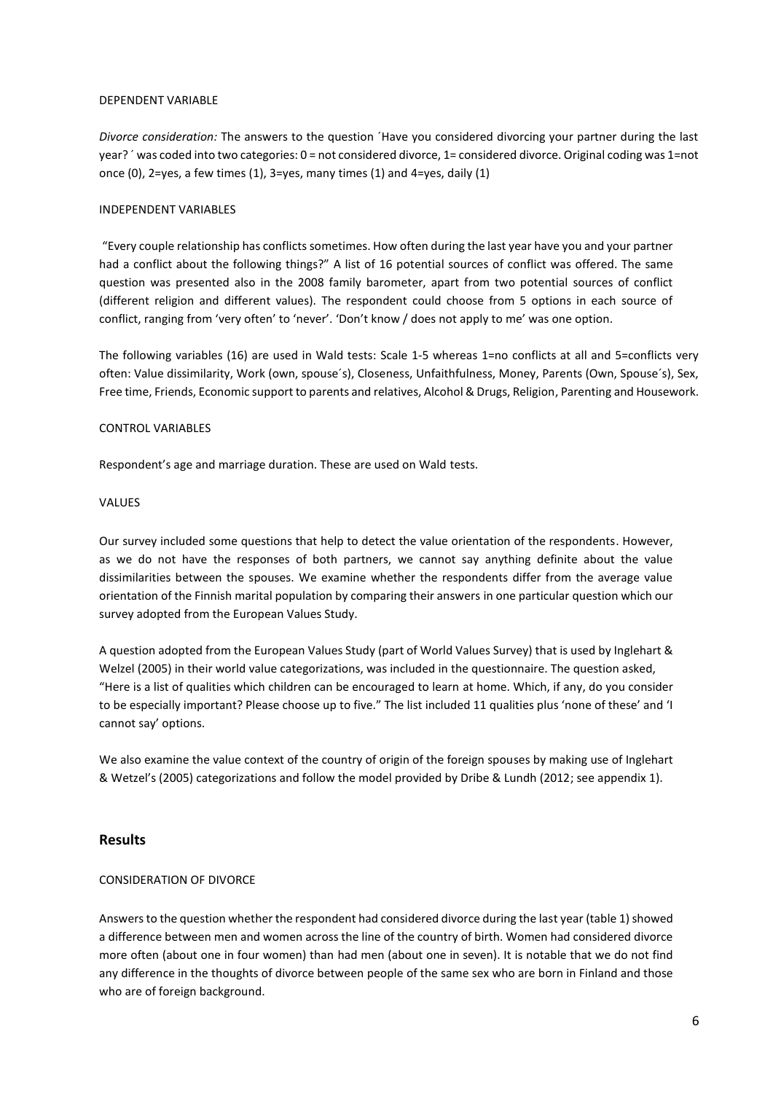#### DEPENDENT VARIABLE

*Divorce consideration:* The answers to the question ´Have you considered divorcing your partner during the last year? ´ was coded into two categories: 0 = not considered divorce, 1= considered divorce. Original coding was 1=not once (0), 2=yes, a few times (1), 3=yes, many times (1) and 4=yes, daily (1)

#### INDEPENDENT VARIABLES

"Every couple relationship has conflicts sometimes. How often during the last year have you and your partner had a conflict about the following things?" A list of 16 potential sources of conflict was offered. The same question was presented also in the 2008 family barometer, apart from two potential sources of conflict (different religion and different values). The respondent could choose from 5 options in each source of conflict, ranging from 'very often' to 'never'. 'Don't know / does not apply to me' was one option.

The following variables (16) are used in Wald tests: Scale 1-5 whereas 1=no conflicts at all and 5=conflicts very often: Value dissimilarity, Work (own, spouse´s), Closeness, Unfaithfulness, Money, Parents (Own, Spouse´s), Sex, Free time, Friends, Economic support to parents and relatives, Alcohol & Drugs, Religion, Parenting and Housework.

#### CONTROL VARIABLES

Respondent's age and marriage duration. These are used on Wald tests.

#### VALUES

Our survey included some questions that help to detect the value orientation of the respondents. However, as we do not have the responses of both partners, we cannot say anything definite about the value dissimilarities between the spouses. We examine whether the respondents differ from the average value orientation of the Finnish marital population by comparing their answers in one particular question which our survey adopted from the European Values Study.

A question adopted from the European Values Study (part of World Values Survey) that is used by Inglehart & Welzel (2005) in their world value categorizations, was included in the questionnaire. The question asked, "Here is a list of qualities which children can be encouraged to learn at home. Which, if any, do you consider to be especially important? Please choose up to five." The list included 11 qualities plus 'none of these' and 'I cannot say' options.

We also examine the value context of the country of origin of the foreign spouses by making use of Inglehart & Wetzel's (2005) categorizations and follow the model provided by Dribe & Lundh (2012; see appendix 1).

## **Results**

## CONSIDERATION OF DIVORCE

Answers to the question whether the respondent had considered divorce during the last year (table 1) showed a difference between men and women across the line of the country of birth. Women had considered divorce more often (about one in four women) than had men (about one in seven). It is notable that we do not find any difference in the thoughts of divorce between people of the same sex who are born in Finland and those who are of foreign background.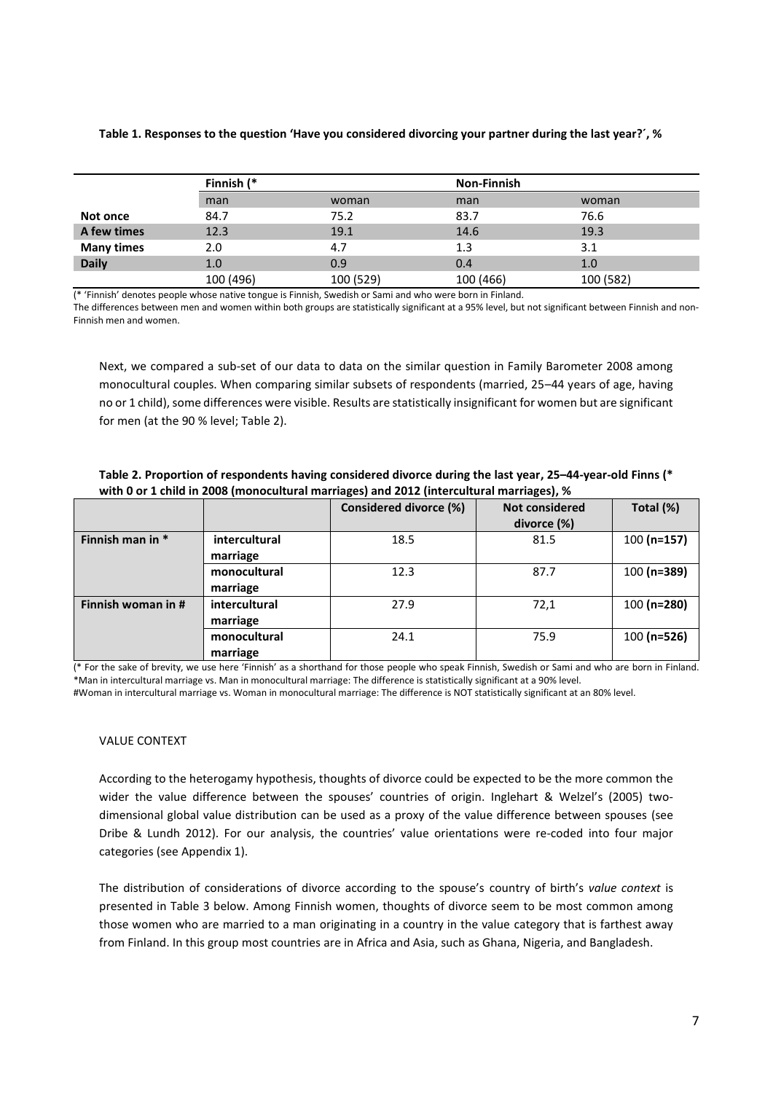#### **Table 1. Responses to the question 'Have you considered divorcing your partner during the last year?´, %**

|                   | Finnish (* |           |           | <b>Non-Finnish</b> |  |
|-------------------|------------|-----------|-----------|--------------------|--|
|                   | man        | woman     | man       | woman              |  |
| Not once          | 84.7       | 75.2      | 83.7      | 76.6               |  |
| A few times       | 12.3       | 19.1      | 14.6      | 19.3               |  |
| <b>Many times</b> | 2.0        | 4.7       | 1.3       | 3.1                |  |
| <b>Daily</b>      | 1.0        | 0.9       | 0.4       | 1.0                |  |
|                   | 100 (496)  | 100 (529) | 100 (466) | 100 (582)          |  |

(\* 'Finnish' denotes people whose native tongue is Finnish, Swedish or Sami and who were born in Finland.

The differences between men and women within both groups are statistically significant at a 95% level, but not significant between Finnish and non-Finnish men and women.

Next, we compared a sub-set of our data to data on the similar question in Family Barometer 2008 among monocultural couples. When comparing similar subsets of respondents (married, 25–44 years of age, having no or 1 child), some differences were visible. Results are statistically insignificant for women but are significant for men (at the 90 % level; Table 2).

**Table 2. Proportion of respondents having considered divorce during the last year, 25–44-year-old Finns (\* with 0 or 1 child in 2008 (monocultural marriages) and 2012 (intercultural marriages), %** 

|                    |                           | Considered divorce (%) | <b>Not considered</b><br>divorce (%) | Total (%)     |
|--------------------|---------------------------|------------------------|--------------------------------------|---------------|
| Finnish man in *   | intercultural<br>marriage | 18.5                   | 81.5                                 | $100(n=157)$  |
|                    | monocultural<br>marriage  | 12.3                   | 87.7                                 | $100$ (n=389) |
| Finnish woman in # | intercultural<br>marriage | 27.9                   | 72,1                                 | $100(n=280)$  |
|                    | monocultural<br>marriage  | 24.1                   | 75.9                                 | $100$ (n=526) |

(\* For the sake of brevity, we use here 'Finnish' as a shorthand for those people who speak Finnish, Swedish or Sami and who are born in Finland. \*Man in intercultural marriage vs. Man in monocultural marriage: The difference is statistically significant at a 90% level.

#Woman in intercultural marriage vs. Woman in monocultural marriage: The difference is NOT statistically significant at an 80% level.

#### VALUE CONTEXT

According to the heterogamy hypothesis, thoughts of divorce could be expected to be the more common the wider the value difference between the spouses' countries of origin. Inglehart & Welzel's (2005) twodimensional global value distribution can be used as a proxy of the value difference between spouses (see Dribe & Lundh 2012). For our analysis, the countries' value orientations were re-coded into four major categories (see Appendix 1).

The distribution of considerations of divorce according to the spouse's country of birth's *value context* is presented in Table 3 below. Among Finnish women, thoughts of divorce seem to be most common among those women who are married to a man originating in a country in the value category that is farthest away from Finland. In this group most countries are in Africa and Asia, such as Ghana, Nigeria, and Bangladesh.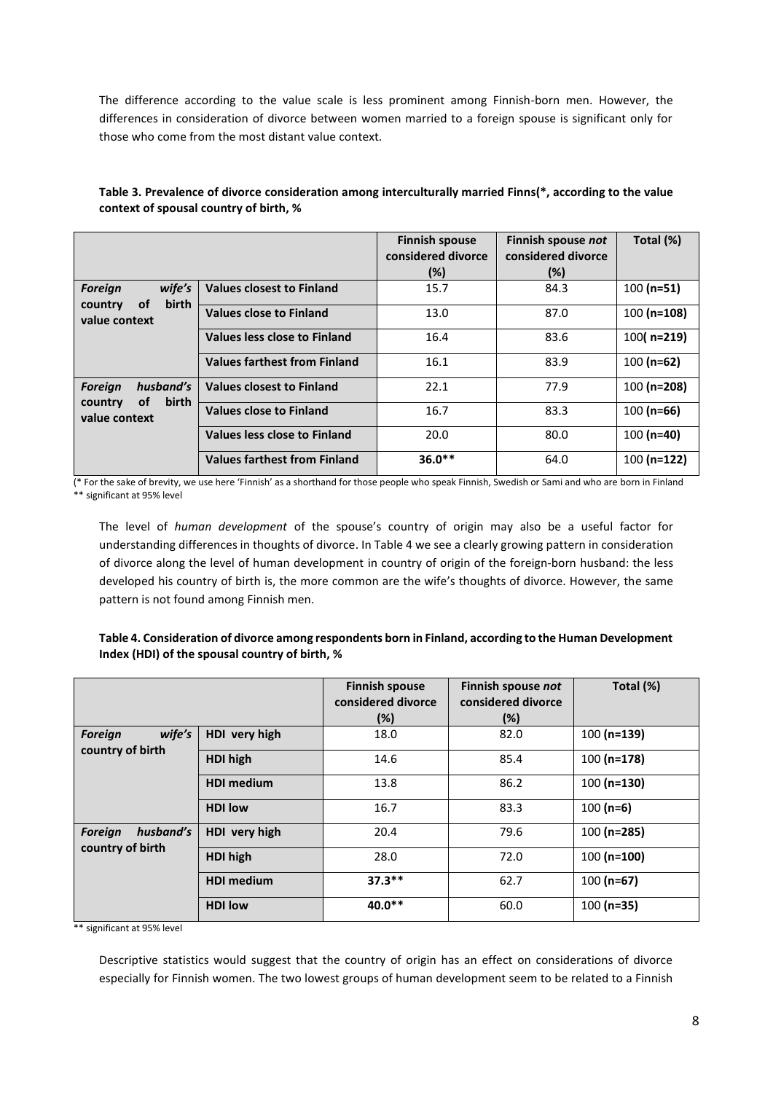The difference according to the value scale is less prominent among Finnish-born men. However, the differences in consideration of divorce between women married to a foreign spouse is significant only for those who come from the most distant value context.

|                                                              |                                     | <b>Finnish spouse</b><br>considered divorce<br>$(\%)$ | Finnish spouse not<br>considered divorce<br>$(\%)$ | Total (%)     |
|--------------------------------------------------------------|-------------------------------------|-------------------------------------------------------|----------------------------------------------------|---------------|
| wife's<br><b>Foreign</b><br>birth<br>οf                      | <b>Values closest to Finland</b>    | 15.7                                                  | 84.3                                               | $100(n=51)$   |
| country<br>value context                                     | <b>Values close to Finland</b>      | 13.0                                                  | 87.0                                               | $100(n=108)$  |
|                                                              | Values less close to Finland        | 16.4                                                  | 83.6                                               | $100($ n=219) |
|                                                              | <b>Values farthest from Finland</b> | 16.1                                                  | 83.9                                               | $100(n=62)$   |
| husband's<br><b>Foreign</b><br>birth<br><b>of</b><br>country | <b>Values closest to Finland</b>    | 22.1                                                  | 77.9                                               | $100(n=208)$  |
| value context                                                | <b>Values close to Finland</b>      | 16.7                                                  | 83.3                                               | $100$ (n=66)  |
|                                                              | <b>Values less close to Finland</b> | 20.0                                                  | 80.0                                               | $100$ (n=40)  |
|                                                              | <b>Values farthest from Finland</b> | $36.0**$                                              | 64.0                                               | $100(n=122)$  |

**Table 3. Prevalence of divorce consideration among interculturally married Finns(\*, according to the value context of spousal country of birth, %**

(\* For the sake of brevity, we use here 'Finnish' as a shorthand for those people who speak Finnish, Swedish or Sami and who are born in Finland \*\* significant at 95% level

The level of *human development* of the spouse's country of origin may also be a useful factor for understanding differences in thoughts of divorce. In Table 4 we see a clearly growing pattern in consideration of divorce along the level of human development in country of origin of the foreign-born husband: the less developed his country of birth is, the more common are the wife's thoughts of divorce. However, the same pattern is not found among Finnish men.

## **Table 4. Consideration of divorce among respondents born in Finland, according to the Human Development Index (HDI) of the spousal country of birth, %**

|                                              |                   | <b>Finnish spouse</b><br>considered divorce<br>(%) | Finnish spouse not<br>considered divorce<br>(%) | Total (%)    |
|----------------------------------------------|-------------------|----------------------------------------------------|-------------------------------------------------|--------------|
| wife's<br><b>Foreign</b><br>country of birth | HDI very high     | 18.0                                               | 82.0                                            | $100(n=139)$ |
|                                              | HDI high          | 14.6                                               | 85.4                                            | $100(n=178)$ |
|                                              | <b>HDI</b> medium | 13.8                                               | 86.2                                            | $100(n=130)$ |
|                                              | <b>HDI low</b>    | 16.7                                               | 83.3                                            | $100(n=6)$   |
| husband's<br><b>Foreign</b>                  | HDI very high     | 20.4                                               | 79.6                                            | $100(n=285)$ |
| country of birth                             | HDI high          | 28.0                                               | 72.0                                            | $100(n=100)$ |
|                                              | <b>HDI</b> medium | $37.3***$                                          | 62.7                                            | $100(n=67)$  |
|                                              | <b>HDI low</b>    | 40.0**                                             | 60.0                                            | $100(n=35)$  |

\*\* significant at 95% level

Descriptive statistics would suggest that the country of origin has an effect on considerations of divorce especially for Finnish women. The two lowest groups of human development seem to be related to a Finnish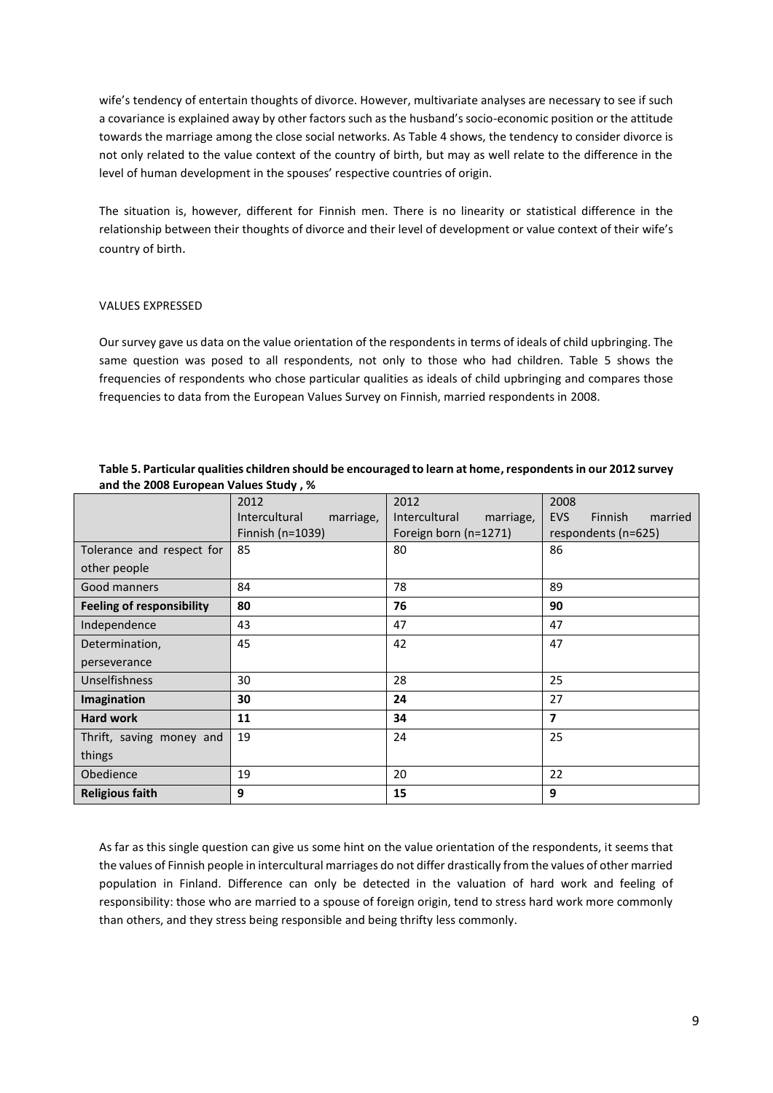wife's tendency of entertain thoughts of divorce. However, multivariate analyses are necessary to see if such a covariance is explained away by other factors such as the husband's socio-economic position or the attitude towards the marriage among the close social networks. As Table 4 shows, the tendency to consider divorce is not only related to the value context of the country of birth, but may as well relate to the difference in the level of human development in the spouses' respective countries of origin.

The situation is, however, different for Finnish men. There is no linearity or statistical difference in the relationship between their thoughts of divorce and their level of development or value context of their wife's country of birth.

#### VALUES EXPRESSED

Our survey gave us data on the value orientation of the respondents in terms of ideals of child upbringing. The same question was posed to all respondents, not only to those who had children. Table 5 shows the frequencies of respondents who chose particular qualities as ideals of child upbringing and compares those frequencies to data from the European Values Survey on Finnish, married respondents in 2008.

| Table 5. Particular qualities children should be encouraged to learn at home, respondents in our 2012 survey |
|--------------------------------------------------------------------------------------------------------------|
| and the 2008 European Values Study, %                                                                        |

|                                  | 2012                       | 2012                       | 2008                                    |  |
|----------------------------------|----------------------------|----------------------------|-----------------------------------------|--|
|                                  | Intercultural<br>marriage, | Intercultural<br>marriage, | <b>EVS</b><br><b>Finnish</b><br>married |  |
|                                  | Finnish (n=1039)           | Foreign born (n=1271)      | respondents (n=625)                     |  |
| Tolerance and respect for        | 85                         | 80                         | 86                                      |  |
| other people                     |                            |                            |                                         |  |
| Good manners                     | 84                         | 78                         | 89                                      |  |
| <b>Feeling of responsibility</b> | 80                         | 76                         | 90                                      |  |
| Independence                     | 43                         | 47                         | 47                                      |  |
| Determination,                   | 45                         | 42                         | 47                                      |  |
| perseverance                     |                            |                            |                                         |  |
| Unselfishness                    | 30                         |                            | 25                                      |  |
| Imagination                      | 30                         | 24                         | 27                                      |  |
| <b>Hard work</b>                 | 11                         | 34                         | 7                                       |  |
| Thrift, saving money and         | 19                         | 24                         | 25                                      |  |
| things                           |                            |                            |                                         |  |
| Obedience                        | 19                         | 20                         | 22                                      |  |
| <b>Religious faith</b>           | 9                          | 15                         | 9                                       |  |

As far as this single question can give us some hint on the value orientation of the respondents, it seems that the values of Finnish people in intercultural marriages do not differ drastically from the values of other married population in Finland. Difference can only be detected in the valuation of hard work and feeling of responsibility: those who are married to a spouse of foreign origin, tend to stress hard work more commonly than others, and they stress being responsible and being thrifty less commonly.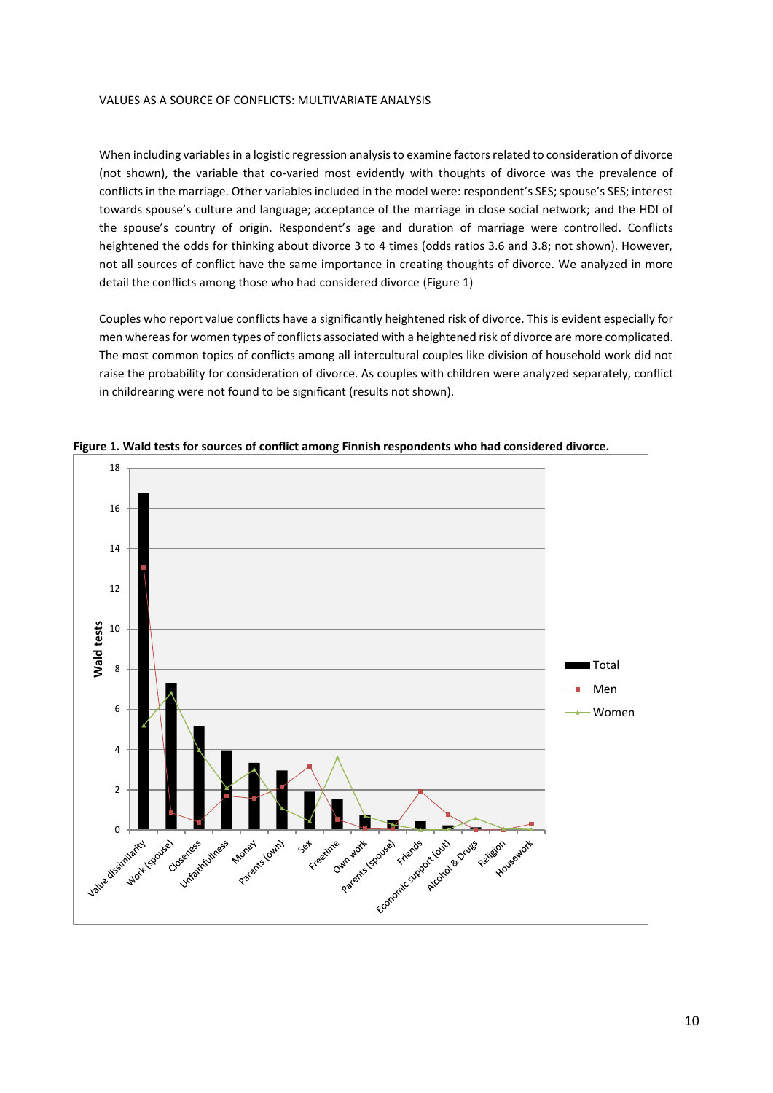#### VALUES AS A SOURCE OF CONFLICTS: MULTIVARIATE ANALYSIS

When including variables in a logistic regression analysisto examine factors related to consideration of divorce (not shown), the variable that co-varied most evidently with thoughts of divorce was the prevalence of conflicts in the marriage. Other variables included in the model were: respondent's SES; spouse's SES; interest towards spouse's culture and language; acceptance of the marriage in close social network; and the HDI of the spouse's country of origin. Respondent's age and duration of marriage were controlled. Conflicts heightened the odds for thinking about divorce 3 to 4 times (odds ratios 3.6 and 3.8; not shown). However, not all sources of conflict have the same importance in creating thoughts of divorce. We analyzed in more detail the conflicts among those who had considered divorce (Figure 1)

Couples who report value conflicts have a significantly heightened risk of divorce. This is evident especially for men whereas for women types of conflicts associated with a heightened risk of divorce are more complicated. The most common topics of conflicts among all intercultural couples like division of household work did not raise the probability for consideration of divorce. As couples with children were analyzed separately, conflict in childrearing were not found to be significant (results not shown).



**Figure 1. Wald tests for sources of conflict among Finnish respondents who had considered divorce.**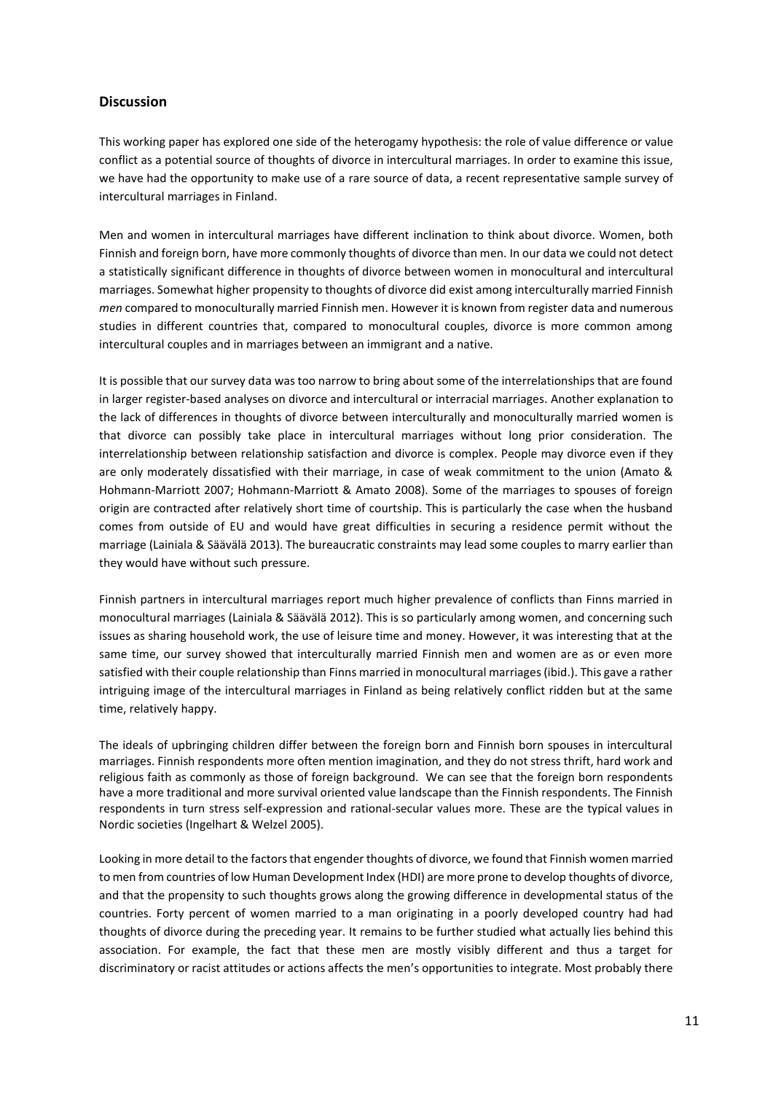## **Discussion**

This working paper has explored one side of the heterogamy hypothesis: the role of value difference or value conflict as a potential source of thoughts of divorce in intercultural marriages. In order to examine this issue, we have had the opportunity to make use of a rare source of data, a recent representative sample survey of intercultural marriages in Finland.

Men and women in intercultural marriages have different inclination to think about divorce. Women, both Finnish and foreign born, have more commonly thoughts of divorce than men. In our data we could not detect a statistically significant difference in thoughts of divorce between women in monocultural and intercultural marriages. Somewhat higher propensity to thoughts of divorce did exist among interculturally married Finnish *men* compared to monoculturally married Finnish men. However it is known from register data and numerous studies in different countries that, compared to monocultural couples, divorce is more common among intercultural couples and in marriages between an immigrant and a native.

It is possible that our survey data was too narrow to bring about some of the interrelationships that are found in larger register-based analyses on divorce and intercultural or interracial marriages. Another explanation to the lack of differences in thoughts of divorce between interculturally and monoculturally married women is that divorce can possibly take place in intercultural marriages without long prior consideration. The interrelationship between relationship satisfaction and divorce is complex. People may divorce even if they are only moderately dissatisfied with their marriage, in case of weak commitment to the union (Amato & Hohmann-Marriott 2007; Hohmann-Marriott & Amato 2008). Some of the marriages to spouses of foreign origin are contracted after relatively short time of courtship. This is particularly the case when the husband comes from outside of EU and would have great difficulties in securing a residence permit without the marriage (Lainiala & Säävälä 2013). The bureaucratic constraints may lead some couples to marry earlier than they would have without such pressure.

Finnish partners in intercultural marriages report much higher prevalence of conflicts than Finns married in monocultural marriages (Lainiala & Säävälä 2012). This is so particularly among women, and concerning such issues as sharing household work, the use of leisure time and money. However, it was interesting that at the same time, our survey showed that interculturally married Finnish men and women are as or even more satisfied with their couple relationship than Finns married in monocultural marriages (ibid.). This gave a rather intriguing image of the intercultural marriages in Finland as being relatively conflict ridden but at the same time, relatively happy.

The ideals of upbringing children differ between the foreign born and Finnish born spouses in intercultural marriages. Finnish respondents more often mention imagination, and they do not stress thrift, hard work and religious faith as commonly as those of foreign background. We can see that the foreign born respondents have a more traditional and more survival oriented value landscape than the Finnish respondents. The Finnish respondents in turn stress self-expression and rational-secular values more. These are the typical values in Nordic societies (Ingelhart & Welzel 2005).

Looking in more detail to the factors that engender thoughts of divorce, we found that Finnish women married to men from countries of low Human Development Index (HDI) are more prone to develop thoughts of divorce, and that the propensity to such thoughts grows along the growing difference in developmental status of the countries. Forty percent of women married to a man originating in a poorly developed country had had thoughts of divorce during the preceding year. It remains to be further studied what actually lies behind this association. For example, the fact that these men are mostly visibly different and thus a target for discriminatory or racist attitudes or actions affects the men's opportunities to integrate. Most probably there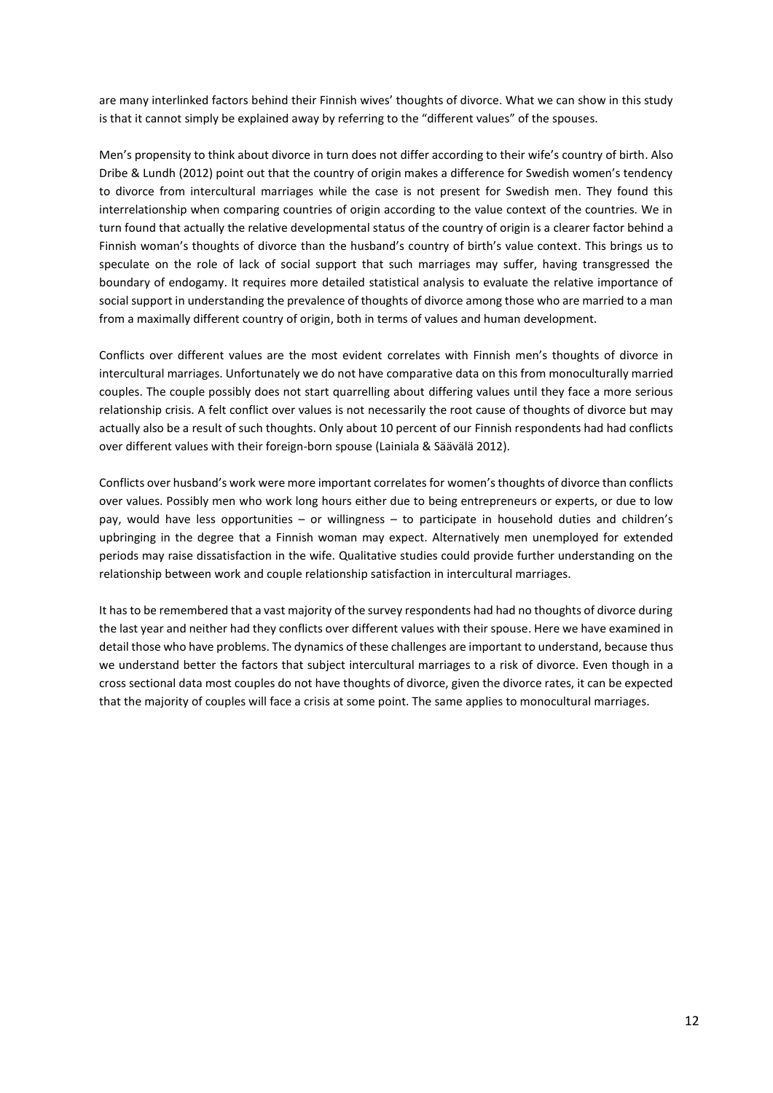are many interlinked factors behind their Finnish wives' thoughts of divorce. What we can show in this study is that it cannot simply be explained away by referring to the "different values" of the spouses.

Men's propensity to think about divorce in turn does not differ according to their wife's country of birth. Also Dribe & Lundh (2012) point out that the country of origin makes a difference for Swedish women's tendency to divorce from intercultural marriages while the case is not present for Swedish men. They found this interrelationship when comparing countries of origin according to the value context of the countries. We in turn found that actually the relative developmental status of the country of origin is a clearer factor behind a Finnish woman's thoughts of divorce than the husband's country of birth's value context. This brings us to speculate on the role of lack of social support that such marriages may suffer, having transgressed the boundary of endogamy. It requires more detailed statistical analysis to evaluate the relative importance of social support in understanding the prevalence of thoughts of divorce among those who are married to a man from a maximally different country of origin, both in terms of values and human development.

Conflicts over different values are the most evident correlates with Finnish men's thoughts of divorce in intercultural marriages. Unfortunately we do not have comparative data on this from monoculturally married couples. The couple possibly does not start quarrelling about differing values until they face a more serious relationship crisis. A felt conflict over values is not necessarily the root cause of thoughts of divorce but may actually also be a result of such thoughts. Only about 10 percent of our Finnish respondents had had conflicts over different values with their foreign-born spouse (Lainiala & Säävälä 2012).

Conflicts over husband's work were more important correlates for women's thoughts of divorce than conflicts over values. Possibly men who work long hours either due to being entrepreneurs or experts, or due to low pay, would have less opportunities – or willingness – to participate in household duties and children's upbringing in the degree that a Finnish woman may expect. Alternatively men unemployed for extended periods may raise dissatisfaction in the wife. Qualitative studies could provide further understanding on the relationship between work and couple relationship satisfaction in intercultural marriages.

It has to be remembered that a vast majority of the survey respondents had had no thoughts of divorce during the last year and neither had they conflicts over different values with their spouse. Here we have examined in detail those who have problems. The dynamics of these challenges are important to understand, because thus we understand better the factors that subject intercultural marriages to a risk of divorce. Even though in a cross sectional data most couples do not have thoughts of divorce, given the divorce rates, it can be expected that the majority of couples will face a crisis at some point. The same applies to monocultural marriages.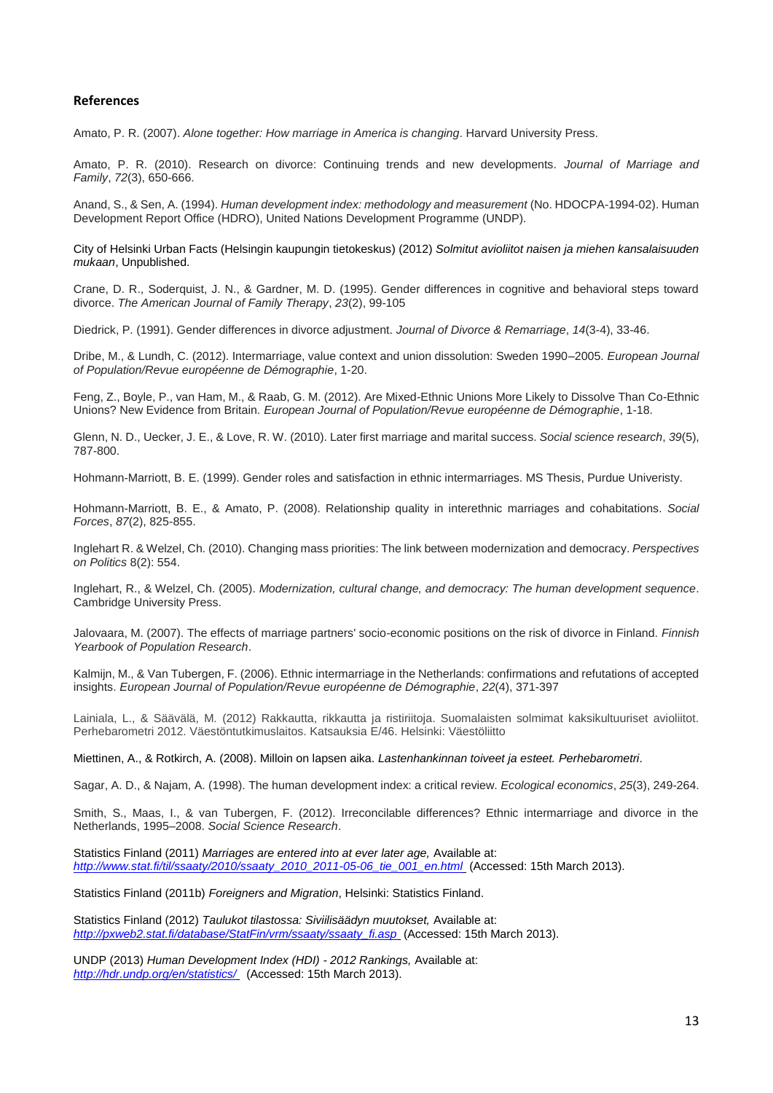#### **References**

Amato, P. R. (2007). *Alone together: How marriage in America is changing*. Harvard University Press.

Amato, P. R. (2010). Research on divorce: Continuing trends and new developments. *Journal of Marriage and Family*, *72*(3), 650-666.

Anand, S., & Sen, A. (1994). *Human development index: methodology and measurement* (No. HDOCPA-1994-02). Human Development Report Office (HDRO), United Nations Development Programme (UNDP).

City of Helsinki Urban Facts (Helsingin kaupungin tietokeskus) (2012) *Solmitut avioliitot naisen ja miehen kansalaisuuden mukaan*, Unpublished.

Crane, D. R., Soderquist, J. N., & Gardner, M. D. (1995). Gender differences in cognitive and behavioral steps toward divorce. *The American Journal of Family Therapy*, *23*(2), 99-105

Diedrick, P. (1991). Gender differences in divorce adjustment. *Journal of Divorce & Remarriage*, *14*(3-4), 33-46.

Dribe, M., & Lundh, C. (2012). Intermarriage, value context and union dissolution: Sweden 1990–2005. *European Journal of Population/Revue européenne de Démographie*, 1-20.

Feng, Z., Boyle, P., van Ham, M., & Raab, G. M. (2012). Are Mixed-Ethnic Unions More Likely to Dissolve Than Co-Ethnic Unions? New Evidence from Britain. *European Journal of Population/Revue européenne de Démographie*, 1-18.

Glenn, N. D., Uecker, J. E., & Love, R. W. (2010). Later first marriage and marital success. *Social science research*, *39*(5), 787-800.

Hohmann-Marriott, B. E. (1999). Gender roles and satisfaction in ethnic intermarriages. MS Thesis, Purdue Univeristy.

Hohmann-Marriott, B. E., & Amato, P. (2008). Relationship quality in interethnic marriages and cohabitations. *Social Forces*, *87*(2), 825-855.

Inglehart R. & Welzel, Ch. (2010). Changing mass priorities: The link between modernization and democracy. *Perspectives on Politics* 8(2): 554.

Inglehart, R., & Welzel, Ch. (2005). *Modernization, cultural change, and democracy: The human development sequence*. Cambridge University Press.

Jalovaara, M. (2007). The effects of marriage partners' socio-economic positions on the risk of divorce in Finland. *Finnish Yearbook of Population Research*.

Kalmijn, M., & Van Tubergen, F. (2006). Ethnic intermarriage in the Netherlands: confirmations and refutations of accepted insights. *European Journal of Population/Revue européenne de Démographie*, *22*(4), 371-397

Lainiala, L., & Säävälä, M. (2012) Rakkautta, rikkautta ja ristiriitoja. Suomalaisten solmimat kaksikultuuriset avioliitot. Perhebarometri 2012. Väestöntutkimuslaitos. Katsauksia E/46. Helsinki: Väestöliitto

Miettinen, A., & Rotkirch, A. (2008). Milloin on lapsen aika. *Lastenhankinnan toiveet ja esteet. Perhebarometri*.

Sagar, A. D., & Najam, A. (1998). The human development index: a critical review. *Ecological economics*, *25*(3), 249-264.

Smith, S., Maas, I., & van Tubergen, F. (2012). Irreconcilable differences? Ethnic intermarriage and divorce in the Netherlands, 1995–2008. *Social Science Research*.

Statistics Finland (2011) *Marriages are entered into at ever later age,* Available at: *[http://www.stat.fi/til/ssaaty/2010/ssaaty\\_2010\\_2011-05-06\\_tie\\_001\\_en.html](http://www.stat.fi/til/ssaaty/2010/ssaaty_2010_2011-05-06_tie_001_en.html)* (Accessed: 15th March 2013).

Statistics Finland (2011b) *Foreigners and Migration*, Helsinki: Statistics Finland.

Statistics Finland (2012) *Taulukot tilastossa: Siviilisäädyn muutokset,* Available at: *[http://pxweb2.stat.fi/database/StatFin/vrm/ssaaty/ssaaty\\_fi.asp](http://pxweb2.stat.fi/database/StatFin/vrm/ssaaty/ssaaty_fi.asp)* (Accessed: 15th March 2013).

UNDP (2013) *Human Development Index (HDI) - 2012 Rankings,* Available at: *<http://hdr.undp.org/en/statistics/>* (Accessed: 15th March 2013).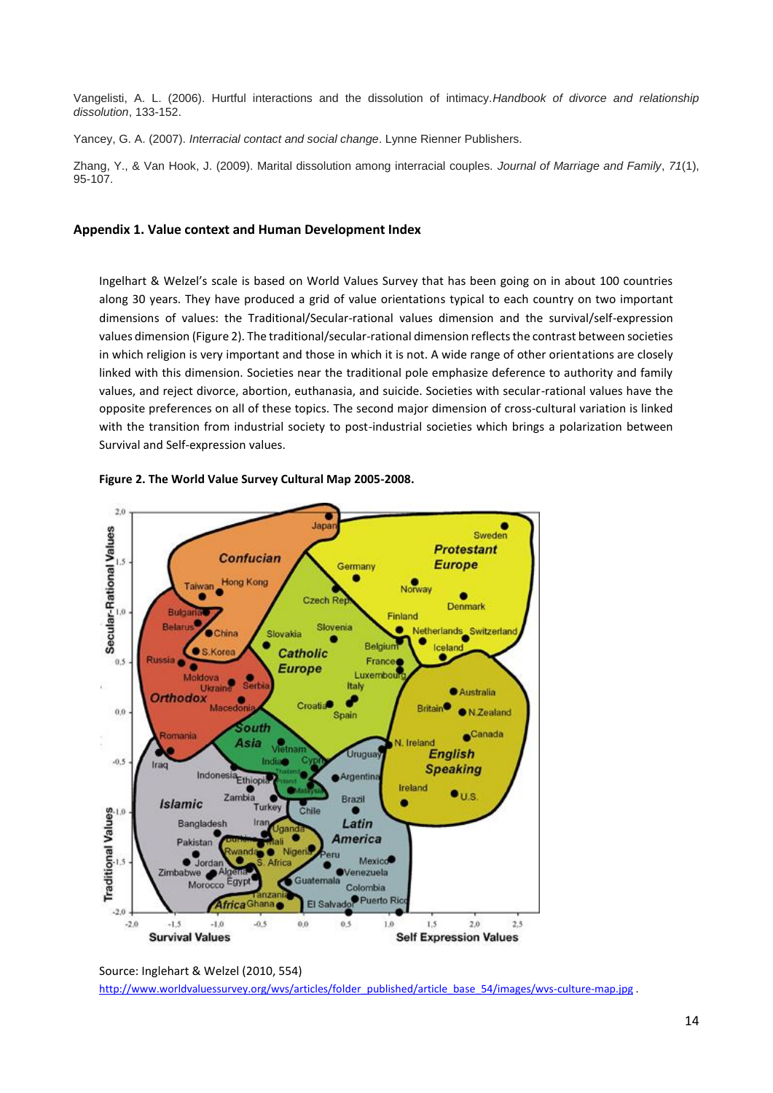Vangelisti, A. L. (2006). Hurtful interactions and the dissolution of intimacy.*Handbook of divorce and relationship dissolution*, 133-152.

Yancey, G. A. (2007). *Interracial contact and social change*. Lynne Rienner Publishers.

Zhang, Y., & Van Hook, J. (2009). Marital dissolution among interracial couples. *Journal of Marriage and Family*, *71*(1), 95-107.

#### **Appendix 1. Value context and Human Development Index**

Ingelhart & Welzel's scale is based on World Values Survey that has been going on in about 100 countries along 30 years. They have produced a grid of value orientations typical to each country on two important dimensions of values: the Traditional/Secular-rational values dimension and the survival/self-expression values dimension (Figure 2). The traditional/secular-rational dimension reflects the contrast between societies in which religion is very important and those in which it is not. A wide range of other orientations are closely linked with this dimension. Societies near the traditional pole emphasize deference to authority and family values, and reject divorce, abortion, euthanasia, and suicide. Societies with secular-rational values have the opposite preferences on all of these topics. The second major dimension of cross-cultural variation is linked with the transition from industrial society to post-industrial societies which brings a polarization between Survival and Self-expression values.





Source: Inglehart & Welzel (2010, 554) [http://www.worldvaluessurvey.org/wvs/articles/folder\\_published/article\\_base\\_54/images/wvs-culture-map.jpg](http://www.worldvaluessurvey.org/wvs/articles/folder_published/article_base_54/images/wvs-culture-map.jpg) .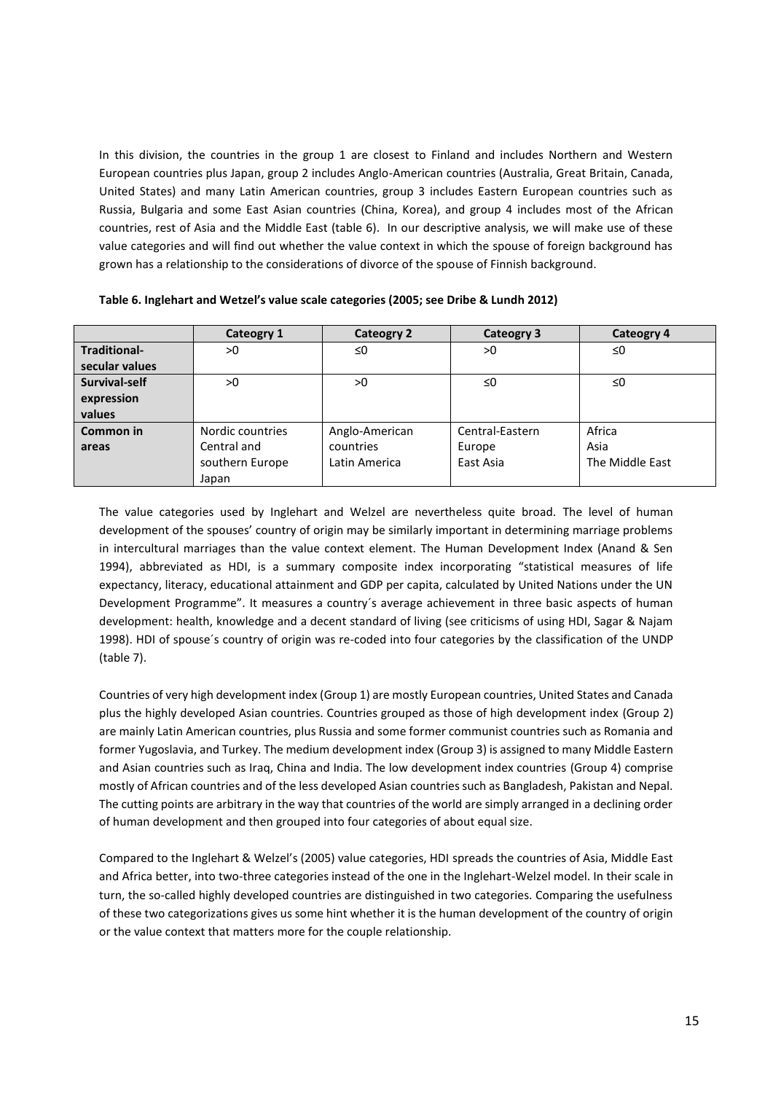In this division, the countries in the group 1 are closest to Finland and includes Northern and Western European countries plus Japan, group 2 includes Anglo-American countries (Australia, Great Britain, Canada, United States) and many Latin American countries, group 3 includes Eastern European countries such as Russia, Bulgaria and some East Asian countries (China, Korea), and group 4 includes most of the African countries, rest of Asia and the Middle East (table 6). In our descriptive analysis, we will make use of these value categories and will find out whether the value context in which the spouse of foreign background has grown has a relationship to the considerations of divorce of the spouse of Finnish background.

|                     | Cateogry 1       | <b>Cateogry 2</b> | Cateogry 3      | Cateogry 4      |
|---------------------|------------------|-------------------|-----------------|-----------------|
| <b>Traditional-</b> | >0               | $\leq 0$          | >0              | ≤0              |
| secular values      |                  |                   |                 |                 |
| Survival-self       | >0               | >0                | ≤0              | ≤0              |
| expression          |                  |                   |                 |                 |
| values              |                  |                   |                 |                 |
| Common in           | Nordic countries | Anglo-American    | Central-Eastern | Africa          |
| areas               | Central and      | countries         | Europe          | Asia            |
|                     | southern Europe  | Latin America     | East Asia       | The Middle East |
|                     | Japan            |                   |                 |                 |

**Table 6. Inglehart and Wetzel's value scale categories (2005; see Dribe & Lundh 2012)** 

The value categories used by Inglehart and Welzel are nevertheless quite broad. The level of human development of the spouses' country of origin may be similarly important in determining marriage problems in intercultural marriages than the value context element. The Human Development Index (Anand & Sen 1994), abbreviated as HDI, is a summary composite index incorporating "statistical measures of life expectancy, literacy, educational attainment and GDP per capita, calculated by United Nations under the UN Development Programme". It measures a country´s average achievement in three basic aspects of human development: health, knowledge and a decent standard of living (see criticisms of using HDI, Sagar & Najam 1998). HDI of spouse´s country of origin was re-coded into four categories by the classification of the UNDP (table 7).

Countries of very high development index (Group 1) are mostly European countries, United States and Canada plus the highly developed Asian countries. Countries grouped as those of high development index (Group 2) are mainly Latin American countries, plus Russia and some former communist countries such as Romania and former Yugoslavia, and Turkey. The medium development index (Group 3) is assigned to many Middle Eastern and Asian countries such as Iraq, China and India. The low development index countries (Group 4) comprise mostly of African countries and of the less developed Asian countries such as Bangladesh, Pakistan and Nepal. The cutting points are arbitrary in the way that countries of the world are simply arranged in a declining order of human development and then grouped into four categories of about equal size.

Compared to the Inglehart & Welzel's (2005) value categories, HDI spreads the countries of Asia, Middle East and Africa better, into two-three categories instead of the one in the Inglehart-Welzel model. In their scale in turn, the so-called highly developed countries are distinguished in two categories. Comparing the usefulness of these two categorizations gives us some hint whether it is the human development of the country of origin or the value context that matters more for the couple relationship.